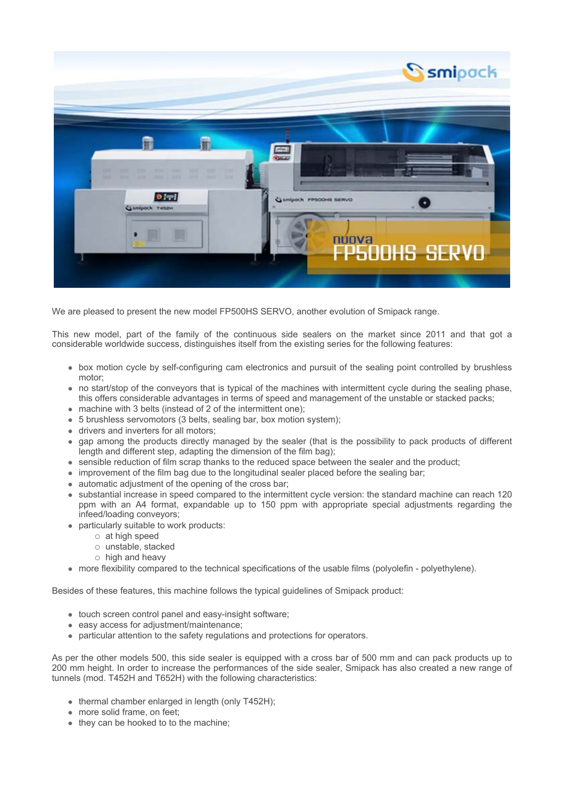

We are pleased to present the new model FP500HS SERVO, another evolution of Smipack range.

This new model, part of the family of the continuous side sealers on the market since 2011 and that got a considerable worldwide success, distinguishes itself from the existing series for the following features:

- box motion cycle by self-configuring cam electronics and pursuit of the sealing point controlled by brushless motor;
- no start/stop of the conveyors that is typical of the machines with intermittent cycle during the sealing phase, this offers considerable advantages in terms of speed and management of the unstable or stacked packs;
- $\bullet$  machine with 3 belts (instead of 2 of the intermittent one);
- 5 brushless servomotors (3 belts, sealing bar, box motion system);
- drivers and inverters for all motors:
- gap among the products directly managed by the sealer (that is the possibility to pack products of different length and different step, adapting the dimension of the film bag);
- $\bullet$  sensible reduction of film scrap thanks to the reduced space between the sealer and the product;
- improvement of the film bag due to the longitudinal sealer placed before the sealing bar;
- $\bullet$  automatic adjustment of the opening of the cross bar;
- substantial increase in speed compared to the intermittent cycle version: the standard machine can reach 120 ppm with an A4 format, expandable up to 150 ppm with appropriate special adjustments regarding the infeed/loading conveyors;
- $\bullet$  particularly suitable to work products:
	- $\circ$  at high speed
	- o unstable, stacked
	- $\circ$  high and heavy
- more flexibility compared to the technical specifications of the usable films (polyolefin polyethylene).

Besides of these features, this machine follows the typical guidelines of Smipack product:

- $\bullet$  touch screen control panel and easy-insight software;
- $\bullet$  easy access for adjustment/maintenance;
- particular attention to the safety regulations and protections for operators.

As per the other models 500, this side sealer is equipped with a cross bar of 500 mm and can pack products up to 200 mm height. In order to increase the performances of the side sealer, Smipack has also created a new range of tunnels (mod. T452H and T652H) with the following characteristics:

- $\bullet$  thermal chamber enlarged in length (only T452H);
- more solid frame, on feet:
- $\bullet$  they can be hooked to to the machine;